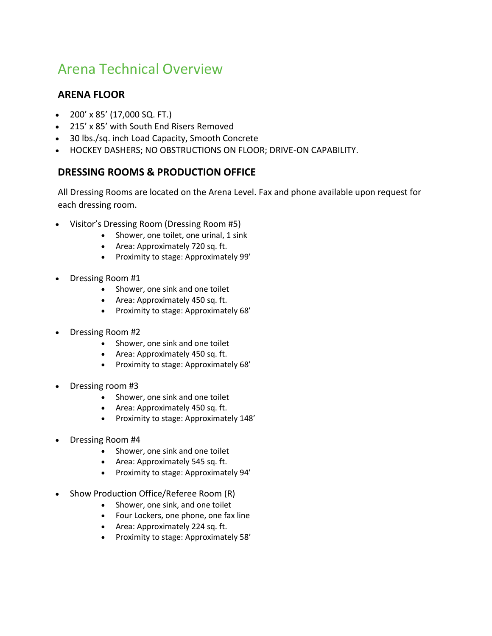## Arena Technical Overview

## **ARENA FLOOR**

- 200' x 85' (17,000 SQ. FT.)
- 215' x 85' with South End Risers Removed
- 30 lbs./sq. inch Load Capacity, Smooth Concrete
- HOCKEY DASHERS; NO OBSTRUCTIONS ON FLOOR; DRIVE-ON CAPABILITY.

## **DRESSING ROOMS & PRODUCTION OFFICE**

All Dressing Rooms are located on the Arena Level. Fax and phone available upon request for each dressing room.

- Visitor's Dressing Room (Dressing Room #5)
	- Shower, one toilet, one urinal, 1 sink
	- Area: Approximately 720 sq. ft.
	- Proximity to stage: Approximately 99'
- Dressing Room #1
	- Shower, one sink and one toilet
	- Area: Approximately 450 sq. ft.
	- Proximity to stage: Approximately 68'
- Dressing Room #2
	- Shower, one sink and one toilet
	- Area: Approximately 450 sq. ft.
	- Proximity to stage: Approximately 68'
- Dressing room #3
	- Shower, one sink and one toilet
	- Area: Approximately 450 sq. ft.
	- Proximity to stage: Approximately 148'
- Dressing Room #4
	- Shower, one sink and one toilet
	- Area: Approximately 545 sq. ft.
	- Proximity to stage: Approximately 94'
- Show Production Office/Referee Room (R)
	- Shower, one sink, and one toilet
	- Four Lockers, one phone, one fax line
	- Area: Approximately 224 sq. ft.
	- Proximity to stage: Approximately 58'